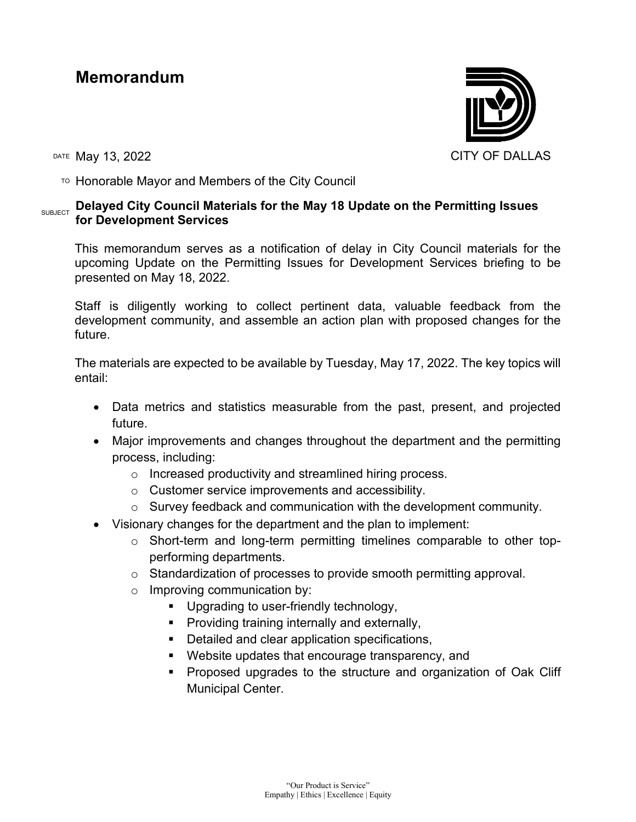## **Memorandum**



TO Honorable Mayor and Members of the City Council

## **SUBJECT Delayed City Council Materials for the May 18 Update on the Permitting Issues for Development Services**

This memorandum serves as a notification of delay in City Council materials for the upcoming Update on the Permitting Issues for Development Services briefing to be presented on May 18, 2022.

Staff is diligently working to collect pertinent data, valuable feedback from the development community, and assemble an action plan with proposed changes for the future.

The materials are expected to be available by Tuesday, May 17, 2022. The key topics will entail:

- Data metrics and statistics measurable from the past, present, and projected future.
- Major improvements and changes throughout the department and the permitting process, including:
	- o Increased productivity and streamlined hiring process.
	- o Customer service improvements and accessibility.
	- $\circ$  Survey feedback and communication with the development community.
- Visionary changes for the department and the plan to implement:
	- o Short-term and long-term permitting timelines comparable to other topperforming departments.
	- o Standardization of processes to provide smooth permitting approval.
	- o Improving communication by:
		- Upgrading to user-friendly technology,
		- **Providing training internally and externally,**
		- Detailed and clear application specifications,
		- Website updates that encourage transparency, and
		- Proposed upgrades to the structure and organization of Oak Cliff Municipal Center.